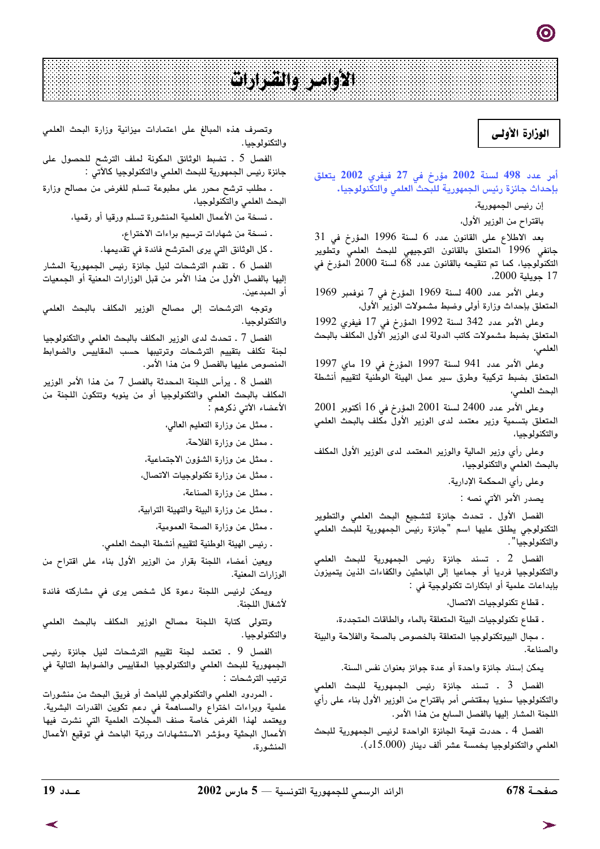# الأوامر والشرارات

## الوزارة الأولى

أمر عدد 498 لسنة 2002 مؤرخ في 27 فيفري 2002 يتعلق بإحداث جائزة رئيس الجمهورية للبحث العلمي والتكنولوجيا.

إن رئيس الجمهورية،

باقتراح من الوزير الأول.

بعد الاطلاع على القانون عدد 6 لسنة 1996 المؤرخ في 31 جانفى 1996 المتعلق بالقانون التوجيهى للبحث العلمى وتطوير التكنولوجيا، كما تم تنقيحه بالقانون عدد 68 لسنة 2000 آلمؤرخ في 17 جويلية 2000،

وعلى الأمر عدد 400 لسنة 1969 المؤرخ في 7 نوفمبر 1969 المتعلق بإحداث وزارة أولى وضبط مشمولات الوزير الأول،

وعلى الأمر عدد 342 لسنة 1992 المؤرخ في 17 فيفري 1992 المتعلق بضبط مشمولات كاتب الدولة لدى الوزير الأول المكلف بالبحث العلمى،

وعلى الأمر عدد 941 لسنة 1997 المؤرخ في 19 ماي 1997 المتعلق بضبط تركيبة وطرق سير عمل الهيئة الوطنية لتقييم أنشطة البحث العلمي،

وعلى الأمر عدد 2400 لسنة 2001 المؤرخ في 16 أكتوبر 2001 المتعلق بتسمية وزير معتمد لدى الوزير الأول مكلف بالبحث العلمي والتكنولوجيا،

وعلى رأى وزير المالية والوزير المعتمد لدى الوزير الأول المكلف بالبحث العلمى والتكنولوجيا،

وعلى رأى المحكمة الإدارية.

يصدر الأمر الآتي نصه :

الفصل الأول . تحدث جائزة لتشجيع البحث العلمى والتطوير التكنولوجي يطلق عليها اسم "جائزة رئيس الجمهورية للبحث العلمي والتكنولوجيا" .

الفصل 2 . تسند جائزة رئيس الجمهورية للبحث العلمي والتكنولوجيا فرديا أو جماعيا إلى الباحثين والكفاءات الذين يتميزون بإبداعات علمية أو ابتكارات تكنولوجية في :

ـ قطاع تكنولوجيات الاتصال،

. قطاع تكنولوجيات البيئة المتعلقة بالماء والطاقات المتجددة،

. مجال البيوتكنولوجيا المتعلقة بالخصوص بالصحة والفلاحة والبيئة والصناعة.

يمكن إسناد جائزة واحدة أو عدة جوائز بعنوان نفس السنة.

الفصل 3 ۔ تسند جائزة رئيس الجمهورية للبحث العلمی والتكنولوجيا سنويا بمقتضى أمر باقتراح من الوزير الأول بناء على رأي اللجنة المشار إليها بالفصل السابع من هذا الأمر.

الفصل 4 . حددت قيمة الجائزة الواحدة لرئيس الجمهورية للبحث العلمي والتكنولوجيا بخمسة عشر ألف دينار (15.000د).

وتصرف هذه المبالغ على اعتمادات ميزانية وزارة البحث العلمى والتكنولوجيا.

الفصل 5 . تضبط الوثائق المكونة لملف الترشح للحصول على جائزة رئيس الجمهورية للبحث العلمي والتكنولوجيا كالآتي :

. مطلب ترشح محرر على مطبوعة تسلم للغرض من مصالح وزارة البحث العلمي والتكنولوجيا،

. نسخة من الأعمال العلمية المنشورة تسلم ورقيا أو رقميا،

. نسخة من شهادات ترسيم براءات الاختراع،

. كل الوثائق التي يرى المترشح فائدة في تقديمها.

الفصل 6 . تقدم الترشحات لنيل جائزة رئيس الجمهورية المشار إليها بالفصل الأول من هذا الأمر من قبل الوزارات المعنية أو الجمعيات أو المبدعين.

وتوجه الترشحات إلى مصالح الوزير المكلف بالبحث العلمي والتكنولوجيا.

الفصل 7 ـ تحدث لدى الوزير المكلف بالبحث العلمي والتكنولوجيا لجنة تكلف بتقييم الترشحات وترتيبها حسب المقاييس والضوابط المنصوص عليها بالفصل 9 من هذا الأمر.

الفصل 8 . يرأس اللحنة المحدثة بالفصل 7 من هذا الأمر الوزير المكلف بالبحث العلمي والتكنولوجيا أو من ينوبه وتتكون اللجنة من الأعضاء الآتي ذكرهم :

. ممثل عن وزارة التعليم العالي،

ـ ممثل عن وزارة الفلاحة،

ـ ممثل عن وزارة الشؤون الاجتماعية،

. ممثل عن وزارة تكنولوجيات الاتصال،

. ممثل عن وزارة الصناعة،

. ممثل عن وزارة البيئة والتهيئة الترابية،

. ممثل عن وزارة الصحة العمومية،

. رئيس الهيئة الوطنية لتقييم أنشطة البحث العلمي.

ويعين أعضاء اللجنة بقرار من الوزير الأول بناء على اقتراح من الوزارات المعنية.

ويمكن لرئيس اللجنة دعوة كل شخص يرى فى مشاركته فائدة لأشغال اللجنة.

وتتولى كتابة اللجنة مصالح الوزير المكلف بالبحث العلمي والتكنولوجيا.

الفصل 9 . تعتمد لجنة تقييم الترشحات لنيل جائزة رئيس الجمهورية للبحث العلمى والتكنولوجيا المقاييس والضوابط التالية فى ترتيب الترشحات :

. المردود العلمي والتكنولوجي للباحث أو فريق البحث من منشورات علمية وبراءات اختراع والمساهمة فى دعم تكوين القدرات البشرية. ويعتمد لهذا الغرض خاصة صنف المجلات العلمية التى نشرت فيها الأعمال البحثية ومؤشر الاستشهادات ورتبة الباحث في توقيع الأعمال المنشورة،